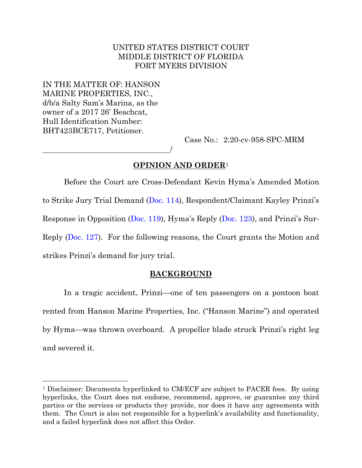# UNITED STATES DISTRICT COURT MIDDLE DISTRICT OF FLORIDA FORT MYERS DIVISION

IN THE MATTER OF: HANSON MARINE PROPERTIES, INC., d/b/a Salty Sam's Marina, as the owner of a 2017 26' Beachcat, Hull Identification Number: BHT423BCE717, Petitioner.

Case No.: 2:20-cv-958-SPC-MRM

# **OPINION AND ORDER**<sup>1</sup>

/

Before the Court are Cross-Defendant Kevin Hyma's Amended Motion to Strike Jury Trial Demand [\(Doc. 114\)](https://ecf.flmd.uscourts.gov/doc1/047123545361), Respondent/Claimant Kayley Prinzi's Response in Opposition [\(Doc. 119\)](https://ecf.flmd.uscourts.gov/doc1/047123601524), Hyma's Reply ([Doc. 123](https://ecf.flmd.uscourts.gov/doc1/047123664300)), and Prinzi's Sur-Reply [\(Doc. 127\)](https://ecf.flmd.uscourts.gov/doc1/047123701082). For the following reasons, the Court grants the Motion and strikes Prinzi's demand for jury trial.

### **BACKGROUND**

In a tragic accident, Prinzi—one of ten passengers on a pontoon boat rented from Hanson Marine Properties, Inc. ("Hanson Marine") and operated by Hyma—was thrown overboard. A propeller blade struck Prinzi's right leg and severed it.

<sup>&</sup>lt;sup>1</sup> Disclaimer: Documents hyperlinked to CM/ECF are subject to PACER fees. By using hyperlinks, the Court does not endorse, recommend, approve, or guarantee any third parties or the services or products they provide, nor does it have any agreements with them. The Court is also not responsible for a hyperlink's availability and functionality, and a failed hyperlink does not affect this Order.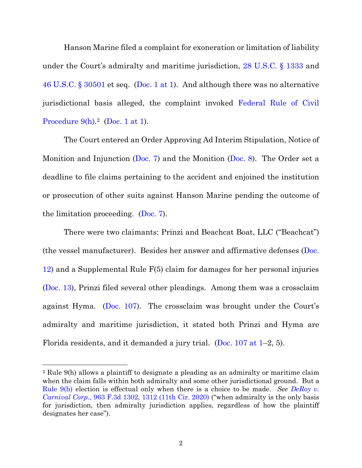Hanson Marine filed a complaint for exoneration or limitation of liability under the Court's admiralty and maritime jurisdiction, [28 U.S.C. § 1333](https://www.westlaw.com/Document/NCB827150A35911D88B25BBE406C5D950/View/FullText.html?transitionType=Default&contextData=(sc.Default)&VR=3.0&RS=da3.0) and [46 U.S.C. § 30501](https://www.westlaw.com/Document/N18174620797311DB97498A25502114AE/View/FullText.html?transitionType=Default&contextData=(sc.Default)&VR=3.0&RS=da3.0) et seq. [\(Doc. 1 at 1\)](https://ecf.flmd.uscourts.gov/doc1/047022368388?page=1). And although there was no alternative jurisdictional basis alleged, the complaint invoked Federal Rule [of Civil](https://www.westlaw.com/Document/N32A6F0B0B96011D8983DF34406B5929B/View/FullText.html?transitionType=Default&contextData=(sc.Default)&VR=3.0&RS=da3.0)  [Procedure](https://www.westlaw.com/Document/N32A6F0B0B96011D8983DF34406B5929B/View/FullText.html?transitionType=Default&contextData=(sc.Default)&VR=3.0&RS=da3.0)  $9(h)$ .<sup>2</sup> [\(Doc. 1 at 1\)](https://ecf.flmd.uscourts.gov/doc1/047022368388?page=1).

The Court entered an Order Approving Ad Interim Stipulation, Notice of Monition and Injunction [\(Doc. 7\)](https://ecf.flmd.uscourts.gov/doc1/047122483288) and the Monition [\(Doc. 8\)](https://ecf.flmd.uscourts.gov/doc1/047122483343). The Order set a deadline to file claims pertaining to the accident and enjoined the institution or prosecution of other suits against Hanson Marine pending the outcome of the limitation proceeding. [\(Doc. 7\)](https://ecf.flmd.uscourts.gov/doc1/047122483288).

There were two claimants: Prinzi and Beachcat Boat, LLC ("Beachcat") (the vessel manufacturer). Besides her answer and affirmative defenses  $(Doc.$ [12\)](https://ecf.flmd.uscourts.gov/doc1/047122629481) and a Supplemental Rule F(5) claim for damages for her personal injuries [\(Doc. 13\)](https://ecf.flmd.uscourts.gov/doc1/047122629484), Prinzi filed several other pleadings. Among them was a crossclaim against Hyma. [\(Doc.](https://flmd-ecf.sso.dcn/doc1/047123458624) 107). The crossclaim was brought under the Court's admiralty and maritime jurisdiction, it stated both Prinzi and Hyma are Florida residents, and it demanded a jury trial. [\(Doc. 107 at 1](https://ecf.flmd.uscourts.gov/doc1/047123458624?page=1)–2, 5).

<sup>2</sup> Rule 9(h) allows a plaintiff to designate a pleading as an admiralty or maritime claim when the claim falls within both admiralty and some other jurisdictional ground. But a [Rule 9\(h\)](https://www.westlaw.com/Document/N32A6F0B0B96011D8983DF34406B5929B/View/FullText.html?transitionType=Default&contextData=(sc.Default)&VR=3.0&RS=da3.0) election is effectual only when there is a choice to be made. *See [DeRoy](https://www.westlaw.com/Document/I661a8f10baf211ea8406df7959f232f7/View/FullText.html?transitionType=Default&contextData=(sc.Default)&VR=3.0&RS=da3.0&fragmentIdentifier=co_pp_sp_506_1312) v. [Carnival](https://www.westlaw.com/Document/I661a8f10baf211ea8406df7959f232f7/View/FullText.html?transitionType=Default&contextData=(sc.Default)&VR=3.0&RS=da3.0&fragmentIdentifier=co_pp_sp_506_1312) Corp.*[, 963 F.3d 1302, 1312 \(11th Cir. 2020\)](https://www.westlaw.com/Document/I661a8f10baf211ea8406df7959f232f7/View/FullText.html?transitionType=Default&contextData=(sc.Default)&VR=3.0&RS=da3.0&fragmentIdentifier=co_pp_sp_506_1312) ("when admiralty is the only basis for jurisdiction, then admiralty jurisdiction applies, regardless of how the plaintiff designates her case").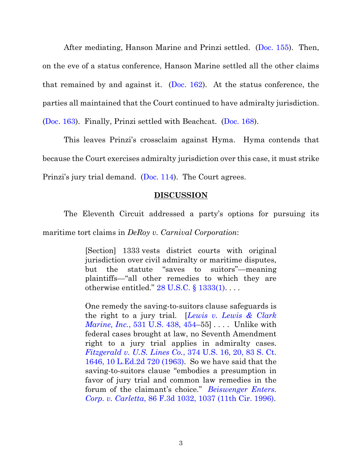After mediating, Hanson Marine and Prinzi settled. [\(Doc. 155\)](https://ecf.flmd.uscourts.gov/doc1/047124012615). Then, on the eve of a status conference, Hanson Marine settled all the other claims that remained by and against it. (Doc.  $162$ ). At the status conference, the parties all maintained that the Court continued to have admiralty jurisdiction. [\(Doc. 163\)](https://ecf.flmd.uscourts.gov/doc1/047124042183). Finally, Prinzi settled with Beachcat. [\(Doc. 168\)](https://ecf.flmd.uscourts.gov/doc1/047124063611).

This leaves Prinzi's crossclaim against Hyma. Hyma contends that because the Court exercises admiralty jurisdiction over this case, it must strike Prinzi's jury trial demand. ([Doc. 114\)](https://ecf.flmd.uscourts.gov/doc1/047123545361). The Court agrees.

#### **DISCUSSION**

The Eleventh Circuit addressed a party's options for pursuing its maritime tort claims in *DeRoy v. Carnival Corporation*:

> [Section] 1333 vests district courts with original jurisdiction over civil admiralty or maritime disputes, but the statute "saves to suitors"—meaning plaintiffs—"all other remedies to which they are otherwise entitled."  $28 \text{ U.S.C.}$  §  $1333(1)$ ...

> One remedy the saving-to-suitors clause safeguards is the right to a jury trial. [*[Lewis v. Lewis & Clark](https://www.westlaw.com/Document/I31923a1a9c2511d9bdd1cfdd544ca3a4/View/FullText.html?transitionType=Default&contextData=(sc.Default)&VR=3.0&RS=da3.0&fragmentIdentifier=co_pp_sp_780_454)  Marine, Inc.*[, 531 U.S. 438, 454](https://www.westlaw.com/Document/I31923a1a9c2511d9bdd1cfdd544ca3a4/View/FullText.html?transitionType=Default&contextData=(sc.Default)&VR=3.0&RS=da3.0&fragmentIdentifier=co_pp_sp_780_454)–55] .... Unlike with federal cases brought at law, no Seventh Amendment right to a jury trial applies in admiralty cases. *Fitzgerald v. U.S. Lines Co.*[, 374 U.S. 16, 20, 83 S. Ct.](https://www.westlaw.com/Document/Id38f280d9be911d993e6d35cc61aab4a/View/FullText.html?transitionType=Default&contextData=(sc.Default)&VR=3.0&RS=da3.0&fragmentIdentifier=co_pp_sp_780_20)  [1646, 10 L.Ed.2d 720 \(1963\).](https://www.westlaw.com/Document/Id38f280d9be911d993e6d35cc61aab4a/View/FullText.html?transitionType=Default&contextData=(sc.Default)&VR=3.0&RS=da3.0&fragmentIdentifier=co_pp_sp_780_20) So we have said that the saving-to-suitors clause "embodies a presumption in favor of jury trial and common law remedies in the forum of the claimant's choice." *[Beiswenger](https://www.westlaw.com/Document/Id3b3d25d92ba11d9a707f4371c9c34f0/View/FullText.html?transitionType=Default&contextData=(sc.Default)&VR=3.0&RS=da3.0&fragmentIdentifier=co_pp_sp_506_1037) Enters. Corp. v. [Carletta](https://www.westlaw.com/Document/Id3b3d25d92ba11d9a707f4371c9c34f0/View/FullText.html?transitionType=Default&contextData=(sc.Default)&VR=3.0&RS=da3.0&fragmentIdentifier=co_pp_sp_506_1037)*, 86 F.3d 1032, 1037 (11th Cir. 1996).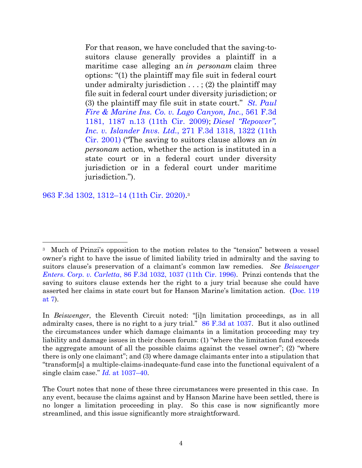For that reason, we have concluded that the saving-tosuitors clause generally provides a plaintiff in a maritime case alleging an *in personam* claim three options: "(1) the plaintiff may file suit in federal court under admiralty jurisdiction  $\dots$ ; (2) the plaintiff may file suit in federal court under diversity jurisdiction; or (3) the plaintiff may file suit in state court." *St. [Paul](https://www.westlaw.com/Document/I295a856a0a3b11deb7e683ba170699a5/View/FullText.html?transitionType=Default&contextData=(sc.Default)&VR=3.0&RS=da3.0&fragmentIdentifier=co_pp_sp_506_1187+n.13) Fire & Marine Ins. Co. v. Lago [Canyon,](https://www.westlaw.com/Document/I295a856a0a3b11deb7e683ba170699a5/View/FullText.html?transitionType=Default&contextData=(sc.Default)&VR=3.0&RS=da3.0&fragmentIdentifier=co_pp_sp_506_1187+n.13) Inc.*, 561 F.3d 1181, 1187 n.13 (11th Cir. [2009\);](https://www.westlaw.com/Document/I295a856a0a3b11deb7e683ba170699a5/View/FullText.html?transitionType=Default&contextData=(sc.Default)&VR=3.0&RS=da3.0&fragmentIdentifier=co_pp_sp_506_1187+n.13) *Diesel ["Repower",](https://www.westlaw.com/Document/Ia9d5b1e379c611d99c4dbb2f0352441d/View/FullText.html?transitionType=Default&contextData=(sc.Default)&VR=3.0&RS=da3.0&fragmentIdentifier=co_pp_sp_506_1322) Inc. v. [Islander](https://www.westlaw.com/Document/Ia9d5b1e379c611d99c4dbb2f0352441d/View/FullText.html?transitionType=Default&contextData=(sc.Default)&VR=3.0&RS=da3.0&fragmentIdentifier=co_pp_sp_506_1322) Invs. Ltd.*, 271 F.3d 1318, 1322 (11th Cir. [2001\)](https://www.westlaw.com/Document/Ia9d5b1e379c611d99c4dbb2f0352441d/View/FullText.html?transitionType=Default&contextData=(sc.Default)&VR=3.0&RS=da3.0&fragmentIdentifier=co_pp_sp_506_1322) ("The saving to suitors clause allows an *in personam* action, whether the action is instituted in a state court or in a federal court under diversity jurisdiction or in a federal court under maritime jurisdiction.").

[963 F.3d 1302, 1312](https://www.westlaw.com/Document/I661a8f10baf211ea8406df7959f232f7/View/FullText.html?transitionType=Default&contextData=(sc.Default)&VR=3.0&RS=da3.0&fragmentIdentifier=co_pp_sp_506_1312)–14 (11th Cir. 2020). 3

<sup>3</sup> Much of Prinzi's opposition to the motion relates to the "tension" between a vessel owner's right to have the issue of limited liability tried in admiralty and the saving to suitors clause's preservation of a claimant's common law remedies. *See [Beiswenger](https://www.westlaw.com/Document/Id3b3d25d92ba11d9a707f4371c9c34f0/View/FullText.html?transitionType=Default&contextData=(sc.Default)&VR=3.0&RS=da3.0&fragmentIdentifier=co_pp_sp_506_1037)  [Enters. Corp. v. Carletta](https://www.westlaw.com/Document/Id3b3d25d92ba11d9a707f4371c9c34f0/View/FullText.html?transitionType=Default&contextData=(sc.Default)&VR=3.0&RS=da3.0&fragmentIdentifier=co_pp_sp_506_1037)*[, 86 F.3d 1032, 1037 \(11th Cir. 1996\).](https://www.westlaw.com/Document/Id3b3d25d92ba11d9a707f4371c9c34f0/View/FullText.html?transitionType=Default&contextData=(sc.Default)&VR=3.0&RS=da3.0&fragmentIdentifier=co_pp_sp_506_1037) Prinzi contends that the saving to suitors clause extends her the right to a jury trial because she could have asserted her claims in state court but for Hanson Marine's limitation action. ([Doc. 119](https://ecf.flmd.uscourts.gov/doc1/047123601524?page=7)  [at 7\)](https://ecf.flmd.uscourts.gov/doc1/047123601524?page=7).

In *Beiswenger*, the Eleventh Circuit noted: "[i]n limitation proceedings, as in all admiralty cases, there is no right to a jury trial." [86 F.3d at 1037.](https://www.westlaw.com/Document/Id3b3d25d92ba11d9a707f4371c9c34f0/View/FullText.html?transitionType=Default&contextData=(sc.Default)&VR=3.0&RS=da3.0&fragmentIdentifier=co_pp_sp_506_1037) But it also outlined the circumstances under which damage claimants in a limitation proceeding may try liability and damage issues in their chosen forum: (1) "where the limitation fund exceeds the aggregate amount of all the possible claims against the vessel owner";  $(2)$  "where" there is only one claimant"; and (3) where damage claimants enter into a stipulation that "transform[s] a multiple-claims-inadequate-fund case into the functional equivalent of a single claim case." *Id.* [at 1037](https://www.westlaw.com/Document/Id3b3d25d92ba11d9a707f4371c9c34f0/View/FullText.html?transitionType=Default&contextData=(sc.Default)&VR=3.0&RS=da3.0&fragmentIdentifier=co_pp_sp_506_1037)–[40.](https://www.westlaw.com/Document/Id3b3d25d92ba11d9a707f4371c9c34f0/View/FullText.html?transitionType=Default&contextData=(sc.Default)&VR=3.0&RS=da3.0&fragmentIdentifier=co_pp_sp_506_1037)

The Court notes that none of these three circumstances were presented in this case. In any event, because the claims against and by Hanson Marine have been settled, there is no longer a limitation proceeding in play. So this case is now significantly more streamlined, and this issue significantly more straightforward.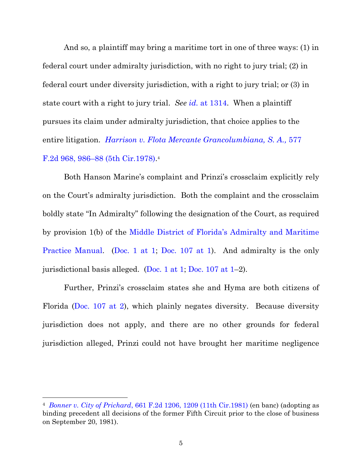And so, a plaintiff may bring a maritime tort in one of three ways: (1) in federal court under admiralty jurisdiction, with no right to jury trial; (2) in federal court under diversity jurisdiction, with a right to jury trial; or (3) in state court with a right to jury trial. *See [id.](https://www.westlaw.com/Document/I661a8f10baf211ea8406df7959f232f7/View/FullText.html?transitionType=Default&contextData=(sc.Default)&VR=3.0&RS=da3.0&fragmentIdentifier=co_pp_sp_506_1314)* [at 1314.](https://www.westlaw.com/Document/I661a8f10baf211ea8406df7959f232f7/View/FullText.html?transitionType=Default&contextData=(sc.Default)&VR=3.0&RS=da3.0&fragmentIdentifier=co_pp_sp_506_1314) When a plaintiff pursues its claim under admiralty jurisdiction, that choice applies to the entire litigation. *Harrison v. Flota Mercante [Grancolumbiana,](https://www.westlaw.com/Document/I662ae316917811d98e8fb00d6c6a02dd/View/FullText.html?transitionType=Default&contextData=(sc.Default)&VR=3.0&RS=da3.0&fragmentIdentifier=co_pp_sp_350_986) S. A.,* [577](https://www.westlaw.com/Document/I662ae316917811d98e8fb00d6c6a02dd/View/FullText.html?transitionType=Default&contextData=(sc.Default)&VR=3.0&RS=da3.0&fragmentIdentifier=co_pp_sp_350_986)  F.2d 968, 986–88 [\(5th Cir.1978\).](https://www.westlaw.com/Document/I662ae316917811d98e8fb00d6c6a02dd/View/FullText.html?transitionType=Default&contextData=(sc.Default)&VR=3.0&RS=da3.0&fragmentIdentifier=co_pp_sp_350_986) 4

Both Hanson Marine's complaint and Prinzi's crossclaim explicitly rely on the Court's admiralty jurisdiction. Both the complaint and the crossclaim boldly state "In Admiralty" following the designation of the Court, as required by provision 1(b) of the [Middle District of Florida's Admiralty and Maritime](https://www.flmd.uscourts.gov/sites/flmd/files/documents/flmd-admiralty-and-maritime-practice-manual.pdf)  [Practice Manual.](https://www.flmd.uscourts.gov/sites/flmd/files/documents/flmd-admiralty-and-maritime-practice-manual.pdf) [\(Doc. 1 at 1;](https://ecf.flmd.uscourts.gov/doc1/047022368388?page=1) [Doc. 107 at 1\)](https://ecf.flmd.uscourts.gov/doc1/047123458624?page=1). And admiralty is the only jurisdictional basis alleged. [\(Doc. 1 at 1;](https://ecf.flmd.uscourts.gov/doc1/047022368388?page=1) [Doc. 107 at 1](https://ecf.flmd.uscourts.gov/doc1/047123458624?page=1)–2).

Further, Prinzi's crossclaim states she and Hyma are both citizens of Florida [\(Doc. 107 at 2\)](https://ecf.flmd.uscourts.gov/doc1/047123458624?page=2), which plainly negates diversity. Because diversity jurisdiction does not apply, and there are no other grounds for federal jurisdiction alleged, Prinzi could not have brought her maritime negligence

<sup>4</sup> *[Bonner v. City of Prichard](https://www.westlaw.com/Document/Ibcaf4c03928911d993e6d35cc61aab4a/View/FullText.html?transitionType=Default&contextData=(sc.Default)&VR=3.0&RS=da3.0&fragmentIdentifier=co_pp_sp_350_1209)*, 661 F.2d 1206, 1209 ([11th Cir.1981\)](https://www.westlaw.com/Document/Ibcaf4c03928911d993e6d35cc61aab4a/View/FullText.html?transitionType=Default&contextData=(sc.Default)&VR=3.0&RS=da3.0&fragmentIdentifier=co_pp_sp_350_1209) (en banc) (adopting as binding precedent all decisions of the former Fifth Circuit prior to the close of business on September 20, 1981).